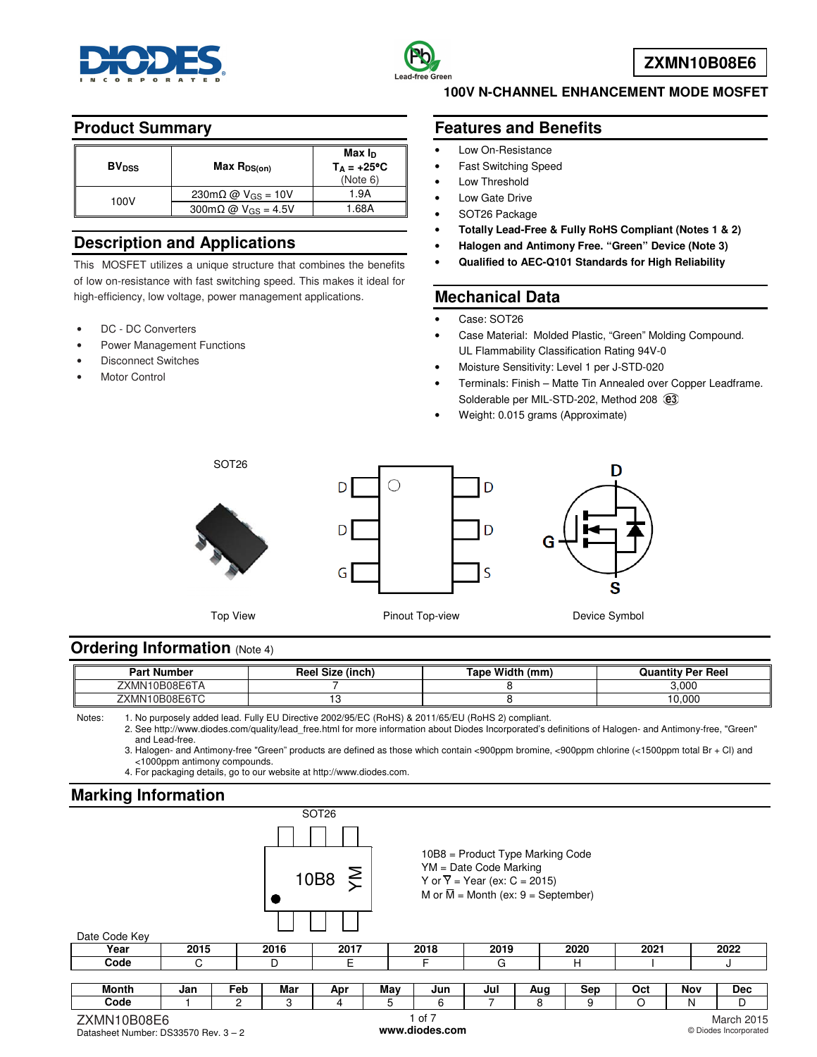



## **Product Summary**

| <b>BV<sub>DSS</sub></b> | $Max R_{DS(on)}$                                  | Max I <sub>D</sub><br>$T_A = +25^{\circ}C$<br>(Note 6) |
|-------------------------|---------------------------------------------------|--------------------------------------------------------|
| 100V                    | $230 \text{m}\Omega \omega$ V <sub>GS</sub> = 10V | 1.9A                                                   |
|                         | $300 \text{m}\Omega$ @ V <sub>GS</sub> = 4.5V     | 1.68A                                                  |

# **Description and Applications**

This MOSFET utilizes a unique structure that combines the benefits of low on-resistance with fast switching speed. This makes it ideal for high-efficiency, low voltage, power management applications.

- DC DC Converters
- Power Management Functions
- Disconnect Switches
- **Motor Control**

#### **100V N-CHANNEL ENHANCEMENT MODE MOSFET**

#### **Features and Benefits**

- Low On-Resistance
- Fast Switching Speed
- Low Threshold
- Low Gate Drive
- SOT26 Package
- **Totally Lead-Free & Fully RoHS Compliant (Notes 1 & 2)**
- **Halogen and Antimony Free. "Green" Device (Note 3)**
- **Qualified to AEC-Q101 Standards for High Reliability**

## **Mechanical Data**

Case: SOT26

D

D

ς

- Case Material: Molded Plastic, "Green" Molding Compound. UL Flammability Classification Rating 94V-0
- Moisture Sensitivity: Level 1 per J-STD-020
- Terminals: Finish Matte Tin Annealed over Copper Leadframe. Solderable per MIL-STD-202, Method 208 @3
- Weight: 0.015 grams (Approximate)



SOT26





Top View **Pinout Top-view Pinout Top-view** Device Symbol

# **Ordering Information (Note 4)**

| --<br>Part<br>l Number                                                          | Ree<br>(inch<br>Size | Width<br>(mm<br>ape | <b>Quantity Per Reel</b> |
|---------------------------------------------------------------------------------|----------------------|---------------------|--------------------------|
| $- - - -$<br>$\mathsf{L}\mathsf{K}\mathsf{M}\mathsf{N}^{\mathsf{T}}$<br>10B08E6 |                      |                     | 3.000                    |
| 10B08E6TC<br>ZXMN1                                                              | . .                  |                     | 10.000                   |

Notes: 1. No purposely added lead. Fully EU Directive 2002/95/EC (RoHS) & 2011/65/EU (RoHS 2) compliant.

 2. See [http://www.diodes.com/quality/lead\\_free.html fo](http://www.diodes.com/quality/lead_free.html)r more information about Diodes Incorporated's definitions of Halogen- and Antimony-free, "Green" and Lead-free.

 3. Halogen- and Antimony-free "Green" products are defined as those which contain <900ppm bromine, <900ppm chlorine (<1500ppm total Br + Cl) and <1000ppm antimony compounds.

4. For packaging details, go to our website at [http://www.diodes.com.](http://www.diodes.com)

## **Marking Information**

| <b>Marking Information</b> |      |     |      |                           |                                                                                                                                                                      |        |      |     |      |      |     |            |
|----------------------------|------|-----|------|---------------------------|----------------------------------------------------------------------------------------------------------------------------------------------------------------------|--------|------|-----|------|------|-----|------------|
|                            |      |     |      | SOT <sub>26</sub><br>10B8 | 10B8 = Product Type Marking Code<br>YM = Date Code Marking<br>$\sum$<br>Y or $\overline{Y}$ = Year (ex: C = 2015)<br>M or $\overline{M}$ = Month (ex: 9 = September) |        |      |     |      |      |     |            |
| Date Code Key              |      |     |      |                           |                                                                                                                                                                      |        |      |     |      |      |     |            |
| Year                       | 2015 |     | 2016 | 2017                      |                                                                                                                                                                      | 2018   | 2019 |     | 2020 | 2021 |     | 2022       |
| Code                       | C    |     | D    | E.                        |                                                                                                                                                                      | F      |      |     | н    |      |     | J          |
|                            |      |     |      |                           |                                                                                                                                                                      |        |      |     |      |      |     |            |
| <b>Month</b>               | Jan  | Feb | Mar  | Apr                       | May                                                                                                                                                                  | Jun    | Jul  | Aug | Sep  | Oct  | Nov | <b>Dec</b> |
| Code                       |      | 2   | 3    | 4                         | 5                                                                                                                                                                    | 6      |      | 8   | 9    | O    | N   | D          |
| ZXMN10B08E6                |      |     |      |                           |                                                                                                                                                                      | 1 of 7 |      |     |      |      |     | March 2015 |

Datasheet Number: DS33570 Rev. 3 – 2

**[www.diodes.com](http://www.diodes.com)** 

March 2015 © Diodes Incorporated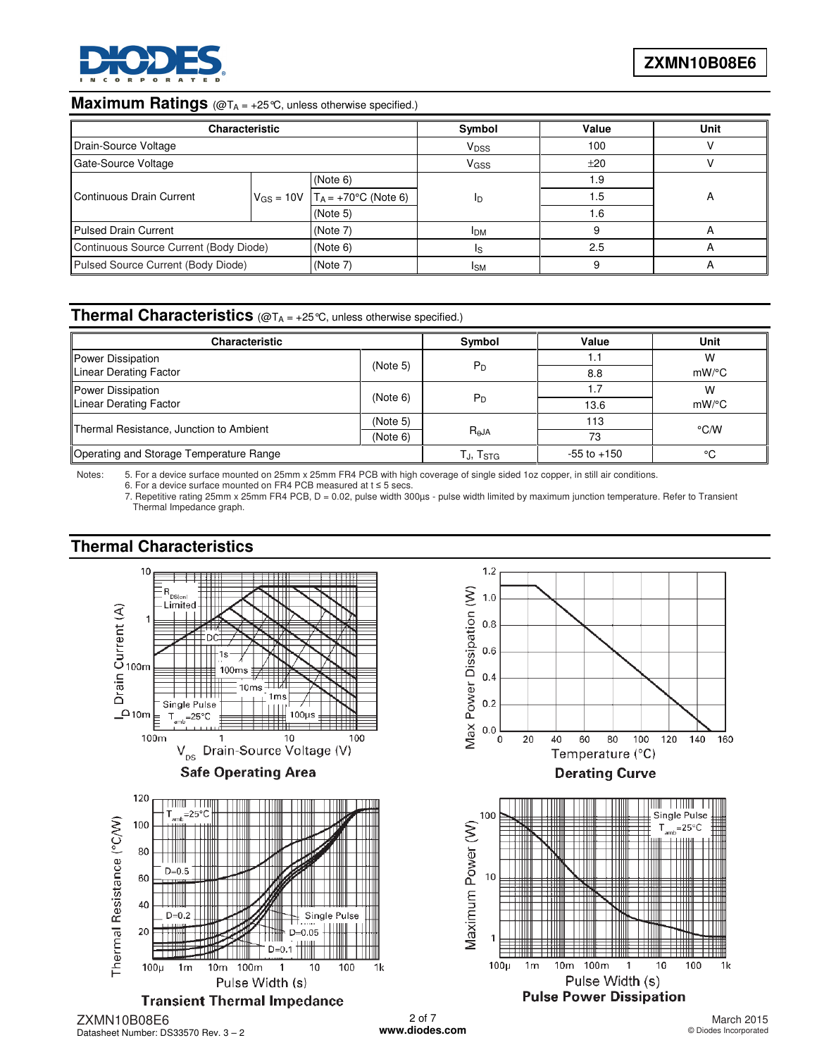

#### **Maximum Ratings** (@T<sub>A = +25</sub>°C, unless otherwise specified.)

| <b>Characteristic</b>                          |  |                                       | Symbol                  | Value | <b>Unit</b> |  |
|------------------------------------------------|--|---------------------------------------|-------------------------|-------|-------------|--|
| Drain-Source Voltage                           |  |                                       | <b>V</b> <sub>DSS</sub> | 100   |             |  |
| Gate-Source Voltage                            |  |                                       | V <sub>GSS</sub>        | ±20   |             |  |
|                                                |  | (Note 6)                              | ID                      | 1.9   |             |  |
| Continuous Drain Current                       |  | $V_{GS} = 10V$ $T_A = +70°C$ (Note 6) |                         | 1.5   |             |  |
|                                                |  | (Note 5)                              |                         | 1.6   |             |  |
| <b>Pulsed Drain Current</b>                    |  | (Note 7)                              | <b>IDM</b>              |       |             |  |
| Continuous Source Current (Body Diode)         |  | (Note 6)                              | Is                      | 2.5   |             |  |
| Pulsed Source Current (Body Diode)<br>(Note 7) |  |                                       | <b>ISM</b>              |       |             |  |

#### **Thermal Characteristics** (@T<sub>A = +25</sub>°C, unless otherwise specified.)

| <b>Characteristic</b>                   |          | Symbol               | Value           | <b>Unit</b>   |  |
|-----------------------------------------|----------|----------------------|-----------------|---------------|--|
| Power Dissipation                       | (Note 5) | $P_D$                | I.I             | W             |  |
| Linear Derating Factor                  |          |                      | 8.8             | $mW$ /°C      |  |
| Power Dissipation<br>(Note 6)           |          |                      | 1.7             | W             |  |
| Linear Derating Factor                  |          | $P_D$                | 13.6            | $mW$ /°C      |  |
| Thermal Resistance, Junction to Ambient | (Note 5) |                      | 113             | $\degree$ C/W |  |
|                                         | (Note 6) | $R_{\theta}$ JA      | 73              |               |  |
| Operating and Storage Temperature Range |          | TJ, T <sub>STG</sub> | $-55$ to $+150$ | ۰c            |  |

Notes: 5. For a device surface mounted on 25mm x 25mm FR4 PCB with high coverage of single sided 1oz copper, in still air conditions. 6. For a device surface mounted on FR4 PCB measured at  $t \le 5$  secs.

7. Repetitive rating 25mm x 25mm FR4 PCB, D = 0.02, pulse width 300µs - pulse width limited by maximum junction temperature. Refer to Transient Thermal Impedance graph.

# **Thermal Characteristics**



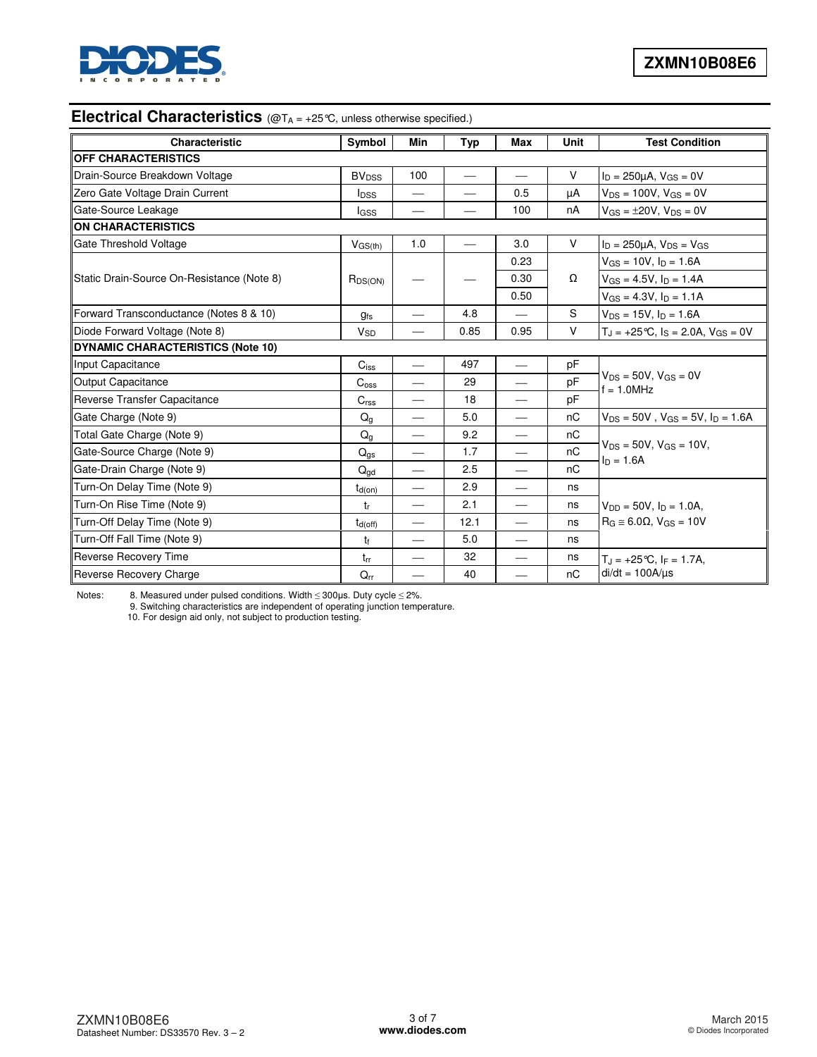

# **Electrical Characteristics** (@T<sub>A</sub> = +25°C, unless otherwise specified.)

| Characteristic                             | Symbol                  | <b>Min</b>               | Typ  | <b>Max</b>               | Unit   | <b>Test Condition</b>                             |
|--------------------------------------------|-------------------------|--------------------------|------|--------------------------|--------|---------------------------------------------------|
| <b>OFF CHARACTERISTICS</b>                 |                         |                          |      |                          |        |                                                   |
| Drain-Source Breakdown Voltage             | <b>BV<sub>DSS</sub></b> | 100                      |      |                          | $\vee$ | $I_D = 250 \mu A$ , $V_{GS} = 0V$                 |
| Zero Gate Voltage Drain Current            | <b>I</b> <sub>DSS</sub> | --                       |      | 0.5                      | μA     | $V_{DS} = 100V$ , $V_{GS} = 0V$                   |
| Gate-Source Leakage                        | lgss                    |                          |      | 100                      | nA     | $V_{GS} = \pm 20V$ , $V_{DS} = 0V$                |
| <b>ON CHARACTERISTICS</b>                  |                         |                          |      |                          |        |                                                   |
| Gate Threshold Voltage                     | $V$ <sub>GS(th)</sub>   | 1.0                      |      | 3.0                      | $\vee$ | $I_D = 250 \mu A$ , $V_{DS} = V_{GS}$             |
|                                            |                         |                          |      | 0.23                     |        | $V_{GS} = 10V$ , $I_D = 1.6A$                     |
| Static Drain-Source On-Resistance (Note 8) | $R_{DS(ON)}$            |                          |      | 0.30                     | Ω      | $V_{GS} = 4.5V$ , $I_D = 1.4A$                    |
|                                            |                         |                          |      | 0.50                     |        | $V_{GS} = 4.3V, I_D = 1.1A$                       |
| Forward Transconductance (Notes 8 & 10)    | <b>gfs</b>              | $\overline{\phantom{0}}$ | 4.8  |                          | S      | $V_{DS} = 15V$ , $I_D = 1.6A$                     |
| Diode Forward Voltage (Note 8)             | <b>V<sub>SD</sub></b>   |                          | 0.85 | 0.95                     | V      | $T_J = +25$ °C, $I_S = 2.0$ A, $V_{GS} = 0$ V     |
| <b>DYNAMIC CHARACTERISTICS (Note 10)</b>   |                         |                          |      |                          |        |                                                   |
| Input Capacitance                          | $C_{iss}$               |                          | 497  | $\overline{\phantom{a}}$ | pF     |                                                   |
| <b>Output Capacitance</b>                  | $C_{\rm{oss}}$          |                          | 29   |                          | pF     | $V_{DS} = 50V$ , $V_{GS} = 0V$<br>$f = 1.0$ MHz   |
| Reverse Transfer Capacitance               | C <sub>rss</sub>        |                          | 18   |                          | pF     |                                                   |
| Gate Charge (Note 9)                       | Q <sub>g</sub>          |                          | 5.0  |                          | nC     | $V_{DS} = 50V$ , $V_{GS} = 5V$ , $I_D = 1.6A$     |
| Total Gate Charge (Note 9)                 | $Q_q$                   | $\qquad \qquad$          | 9.2  |                          | nC     |                                                   |
| Gate-Source Charge (Note 9)                | $Q_{gs}$                | $\qquad \qquad$          | 1.7  |                          | nC     | $V_{DS} = 50V$ , $V_{GS} = 10V$ ,<br>$I_D = 1.6A$ |
| Gate-Drain Charge (Note 9)                 | $Q_{dd}$                | $\qquad \qquad$          | 2.5  |                          | nC     |                                                   |
| Turn-On Delay Time (Note 9)                | $t_{d(on)}$             | $\hspace{0.05cm}$        | 2.9  | $\overline{\phantom{0}}$ | ns     |                                                   |
| Turn-On Rise Time (Note 9)                 | tr                      | $\qquad \qquad$          | 2.1  |                          | ns     | $V_{DD} = 50V$ , $I_D = 1.0A$ ,                   |
| Turn-Off Delay Time (Note 9)               | $t_{d(off)}$            |                          | 12.1 |                          | ns     | $R_G \approx 6.0\Omega$ , $V_{GS} = 10V$          |
| Turn-Off Fall Time (Note 9)                | t <sub>f</sub>          |                          | 5.0  |                          | ns     |                                                   |
| Reverse Recovery Time                      | $t_{rr}$                |                          | 32   |                          | ns     | $T_{\rm J}$ = +25 °C, I <sub>F</sub> = 1.7A,      |
| Reverse Recovery Charge                    | $Q_{rr}$                |                          | 40   |                          | nC     | $di/dt = 100A/\mu s$                              |

Notes: 8. Measured under pulsed conditions. Width ≤ 300µs. Duty cycle ≤ 2%.

 9. Switching characteristics are independent of operating junction temperature. 10. For design aid only, not subject to production testing.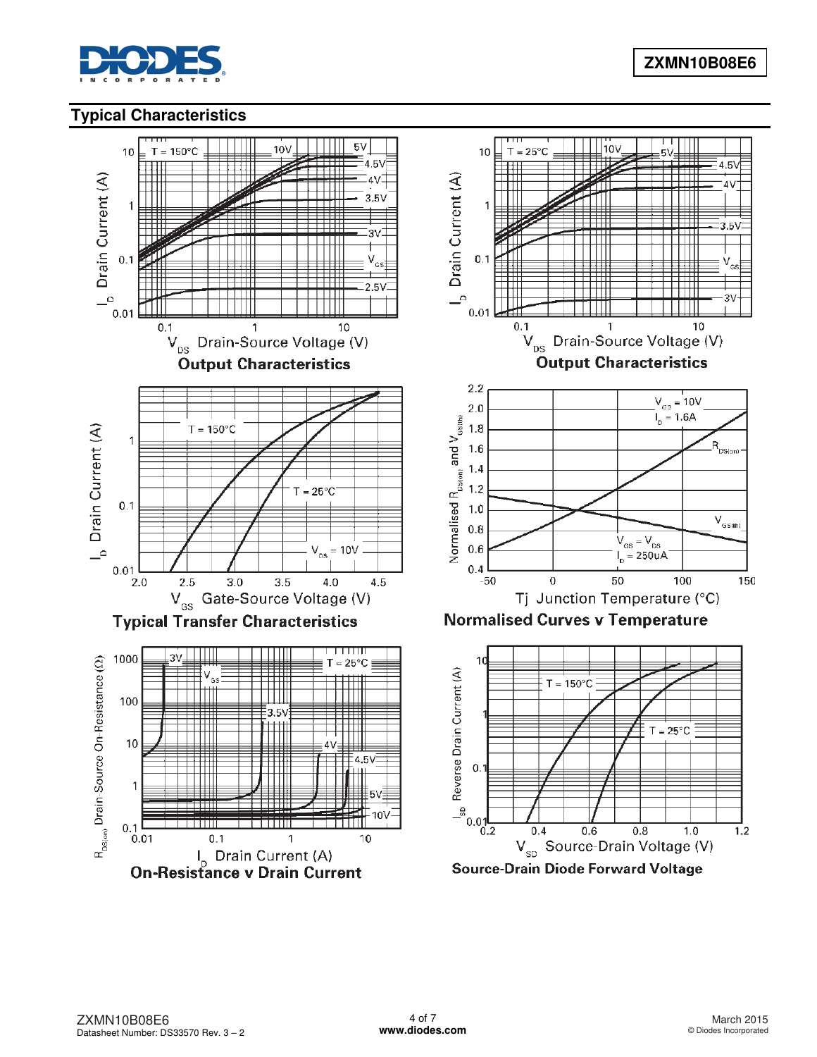

# **Typical Characteristics**

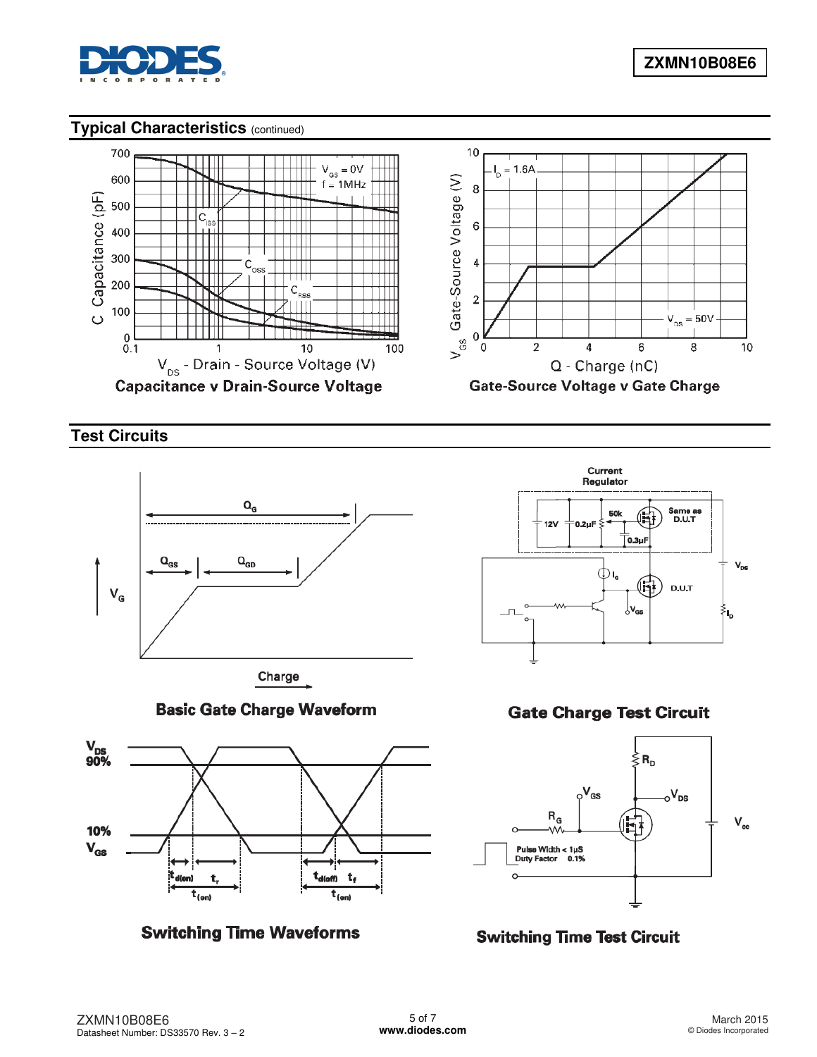

## **Typical Characteristics** (continued)



**Test Circuits** 

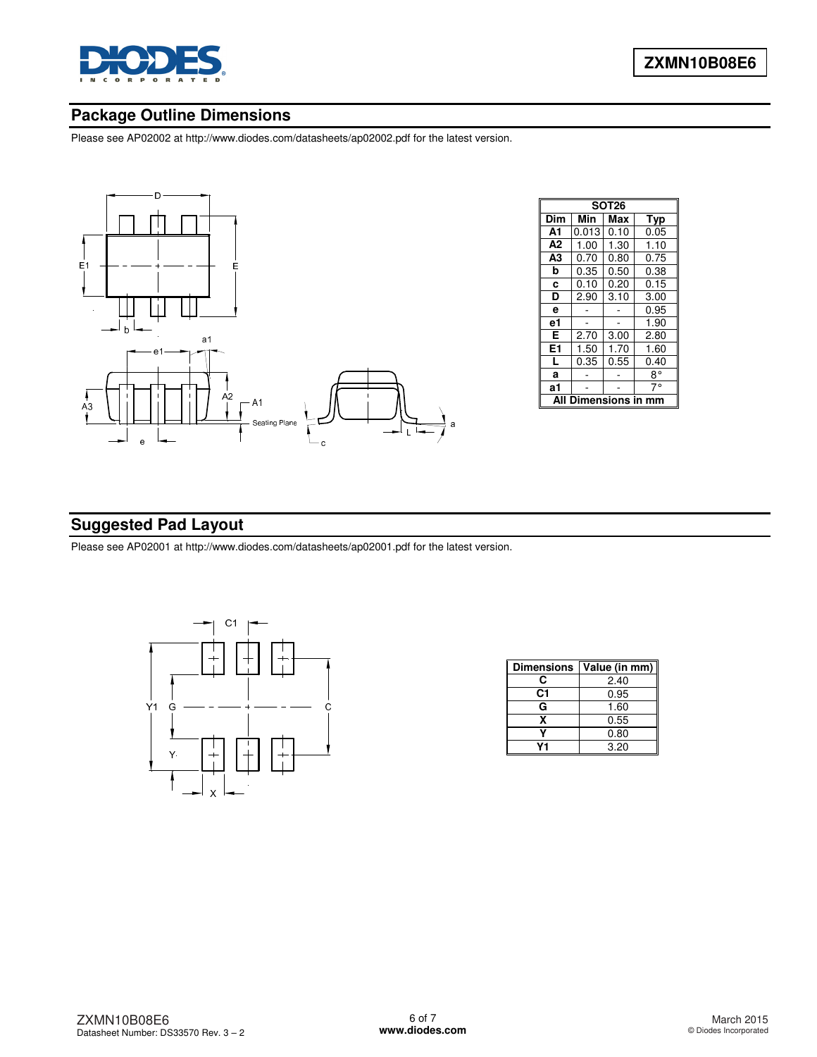

# **Package Outline Dimensions**

Please see AP02002 at [http://www.diodes.com/datasheets/ap02002.pdf fo](http://www.diodes.com/datasheets/ap02002.pdf)r the latest version.



| <b>SOT26</b>    |       |      |      |  |  |  |  |
|-----------------|-------|------|------|--|--|--|--|
| Dim             | Min   | Max  | Typ  |  |  |  |  |
| A1              | 0.013 | 0.10 | 0.05 |  |  |  |  |
| A2              | 1.00  | 1.30 | 1.10 |  |  |  |  |
| A3              | 0.70  | 0.80 | 0.75 |  |  |  |  |
| b               | 0.35  | 0.50 | 0.38 |  |  |  |  |
| C               | 0.10  | 0.20 | 0.15 |  |  |  |  |
| D               | 2.90  | 3.10 | 3.00 |  |  |  |  |
| e               |       |      | 0.95 |  |  |  |  |
| e1              |       |      | 1.90 |  |  |  |  |
| Е               | 2.70  | 3.00 | 2.80 |  |  |  |  |
| E <sub>1</sub>  | 1.50  | 1.70 | 1.60 |  |  |  |  |
| L               | 0.35  | 0.55 | 0.40 |  |  |  |  |
| a               |       |      | 8°   |  |  |  |  |
| a1              |       |      | 70   |  |  |  |  |
| <b>iensions</b> |       |      |      |  |  |  |  |

# **Suggested Pad Layout**

Please see AP02001 at [http://www.diodes.com/datasheets/ap02001.pdf fo](http://www.diodes.com/datasheets/ap02001.pdf)r the latest version.



| <b>Dimensions</b> | Value (in mm) |
|-------------------|---------------|
| С                 | 2.40          |
| C1                | 0.95          |
| G                 | 1.60          |
| x                 | 0.55          |
|                   | 0.80          |
|                   | 3.20          |